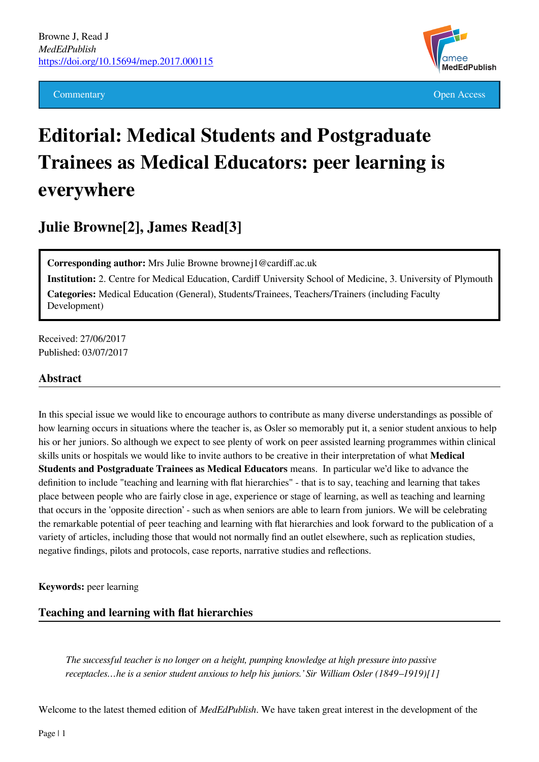

Commentary **Commentary Open Access** 

# **Editorial: Medical Students and Postgraduate Trainees as Medical Educators: peer learning is everywhere**

**Julie Browne[2], James Read[3]**

**Corresponding author:** Mrs Julie Browne brownej1@cardiff.ac.uk

**Institution:** 2. Centre for Medical Education, Cardiff University School of Medicine, 3. University of Plymouth **Categories:** Medical Education (General), Students/Trainees, Teachers/Trainers (including Faculty Development)

Received: 27/06/2017 Published: 03/07/2017

#### **Abstract**

In this special issue we would like to encourage authors to contribute as many diverse understandings as possible of how learning occurs in situations where the teacher is, as Osler so memorably put it, a senior student anxious to help his or her juniors. So although we expect to see plenty of work on peer assisted learning programmes within clinical skills units or hospitals we would like to invite authors to be creative in their interpretation of what **Medical Students and Postgraduate Trainees as Medical Educators** means. In particular we'd like to advance the definition to include "teaching and learning with flat hierarchies" - that is to say, teaching and learning that takes place between people who are fairly close in age, experience or stage of learning, as well as teaching and learning that occurs in the 'opposite direction' - such as when seniors are able to learn from juniors. We will be celebrating the remarkable potential of peer teaching and learning with flat hierarchies and look forward to the publication of a variety of articles, including those that would not normally find an outlet elsewhere, such as replication studies, negative findings, pilots and protocols, case reports, narrative studies and reflections.

**Keywords:** peer learning

#### **Teaching and learning with flat hierarchies**

*The successful teacher is no longer on a height, pumping knowledge at high pressure into passive receptacles…he is a senior student anxious to help his juniors.' Sir William Osler (1849–1919)[1]*

Welcome to the latest themed edition of *MedEdPublish*. We have taken great interest in the development of the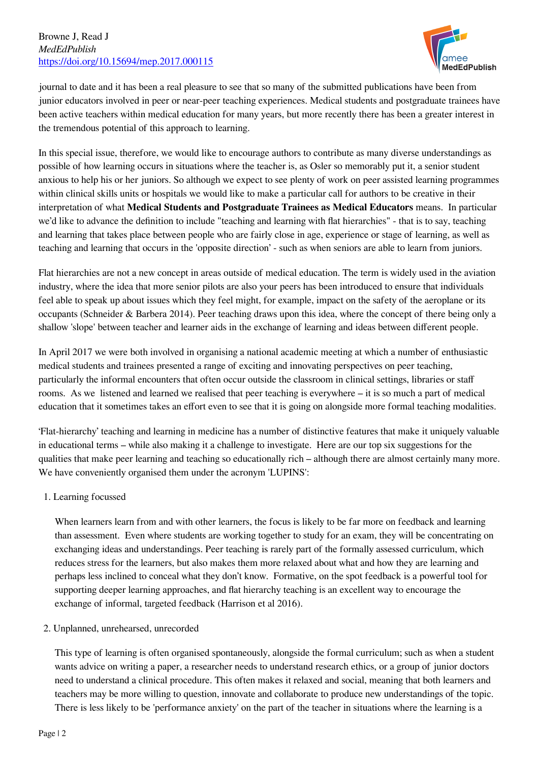#### Browne J, Read J *MedEdPublish* <https://doi.org/10.15694/mep.2017.000115>



journal to date and it has been a real pleasure to see that so many of the submitted publications have been from junior educators involved in peer or near-peer teaching experiences. Medical students and postgraduate trainees have been active teachers within medical education for many years, but more recently there has been a greater interest in the tremendous potential of this approach to learning.

In this special issue, therefore, we would like to encourage authors to contribute as many diverse understandings as possible of how learning occurs in situations where the teacher is, as Osler so memorably put it, a senior student anxious to help his or her juniors. So although we expect to see plenty of work on peer assisted learning programmes within clinical skills units or hospitals we would like to make a particular call for authors to be creative in their interpretation of what **Medical Students and Postgraduate Trainees as Medical Educators** means. In particular we'd like to advance the definition to include "teaching and learning with flat hierarchies" - that is to say, teaching and learning that takes place between people who are fairly close in age, experience or stage of learning, as well as teaching and learning that occurs in the 'opposite direction' - such as when seniors are able to learn from juniors.

Flat hierarchies are not a new concept in areas outside of medical education. The term is widely used in the aviation industry, where the idea that more senior pilots are also your peers has been introduced to ensure that individuals feel able to speak up about issues which they feel might, for example, impact on the safety of the aeroplane or its occupants (Schneider & Barbera 2014). Peer teaching draws upon this idea, where the concept of there being only a shallow 'slope' between teacher and learner aids in the exchange of learning and ideas between different people.

In April 2017 we were both involved in organising a national academic meeting at which a number of enthusiastic medical students and trainees presented a range of exciting and innovating perspectives on peer teaching, particularly the informal encounters that often occur outside the classroom in clinical settings, libraries or staff rooms. As we listened and learned we realised that peer teaching is everywhere – it is so much a part of medical education that it sometimes takes an effort even to see that it is going on alongside more formal teaching modalities.

'Flat-hierarchy' teaching and learning in medicine has a number of distinctive features that make it uniquely valuable in educational terms – while also making it a challenge to investigate. Here are our top six suggestions for the qualities that make peer learning and teaching so educationally rich – although there are almost certainly many more. We have conveniently organised them under the acronym 'LUPINS':

#### 1. Learning focussed

When learners learn from and with other learners, the focus is likely to be far more on feedback and learning than assessment. Even where students are working together to study for an exam, they will be concentrating on exchanging ideas and understandings. Peer teaching is rarely part of the formally assessed curriculum, which reduces stress for the learners, but also makes them more relaxed about what and how they are learning and perhaps less inclined to conceal what they don't know. Formative, on the spot feedback is a powerful tool for supporting deeper learning approaches, and flat hierarchy teaching is an excellent way to encourage the exchange of informal, targeted feedback (Harrison et al 2016).

### 2. Unplanned, unrehearsed, unrecorded

This type of learning is often organised spontaneously, alongside the formal curriculum; such as when a student wants advice on writing a paper, a researcher needs to understand research ethics, or a group of junior doctors need to understand a clinical procedure. This often makes it relaxed and social, meaning that both learners and teachers may be more willing to question, innovate and collaborate to produce new understandings of the topic. There is less likely to be 'performance anxiety' on the part of the teacher in situations where the learning is a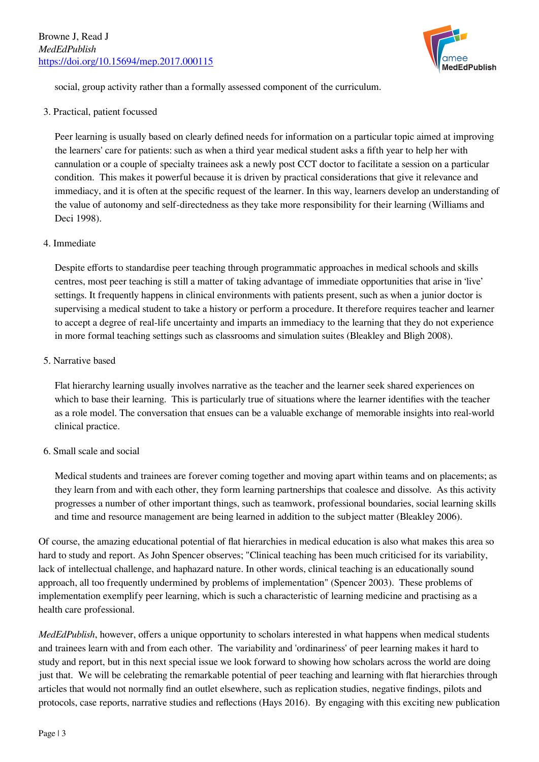

social, group activity rather than a formally assessed component of the curriculum.

3. Practical, patient focussed

Peer learning is usually based on clearly defined needs for information on a particular topic aimed at improving the learners' care for patients: such as when a third year medical student asks a fifth year to help her with cannulation or a couple of specialty trainees ask a newly post CCT doctor to facilitate a session on a particular condition. This makes it powerful because it is driven by practical considerations that give it relevance and immediacy, and it is often at the specific request of the learner. In this way, learners develop an understanding of the value of autonomy and self-directedness as they take more responsibility for their learning (Williams and Deci 1998).

#### 4. Immediate

Despite efforts to standardise peer teaching through programmatic approaches in medical schools and skills centres, most peer teaching is still a matter of taking advantage of immediate opportunities that arise in 'live' settings. It frequently happens in clinical environments with patients present, such as when a junior doctor is supervising a medical student to take a history or perform a procedure. It therefore requires teacher and learner to accept a degree of real-life uncertainty and imparts an immediacy to the learning that they do not experience in more formal teaching settings such as classrooms and simulation suites (Bleakley and Bligh 2008).

5. Narrative based

Flat hierarchy learning usually involves narrative as the teacher and the learner seek shared experiences on which to base their learning. This is particularly true of situations where the learner identifies with the teacher as a role model. The conversation that ensues can be a valuable exchange of memorable insights into real-world clinical practice.

## 6. Small scale and social

Medical students and trainees are forever coming together and moving apart within teams and on placements; as they learn from and with each other, they form learning partnerships that coalesce and dissolve. As this activity progresses a number of other important things, such as teamwork, professional boundaries, social learning skills and time and resource management are being learned in addition to the subject matter (Bleakley 2006).

Of course, the amazing educational potential of flat hierarchies in medical education is also what makes this area so hard to study and report. As John Spencer observes; "Clinical teaching has been much criticised for its variability, lack of intellectual challenge, and haphazard nature. In other words, clinical teaching is an educationally sound approach, all too frequently undermined by problems of implementation" (Spencer 2003). These problems of implementation exemplify peer learning, which is such a characteristic of learning medicine and practising as a health care professional.

*MedEdPublish*, however, offers a unique opportunity to scholars interested in what happens when medical students and trainees learn with and from each other. The variability and 'ordinariness' of peer learning makes it hard to study and report, but in this next special issue we look forward to showing how scholars across the world are doing just that. We will be celebrating the remarkable potential of peer teaching and learning with flat hierarchies through articles that would not normally find an outlet elsewhere, such as replication studies, negative findings, pilots and protocols, case reports, narrative studies and reflections (Hays 2016). By engaging with this exciting new publication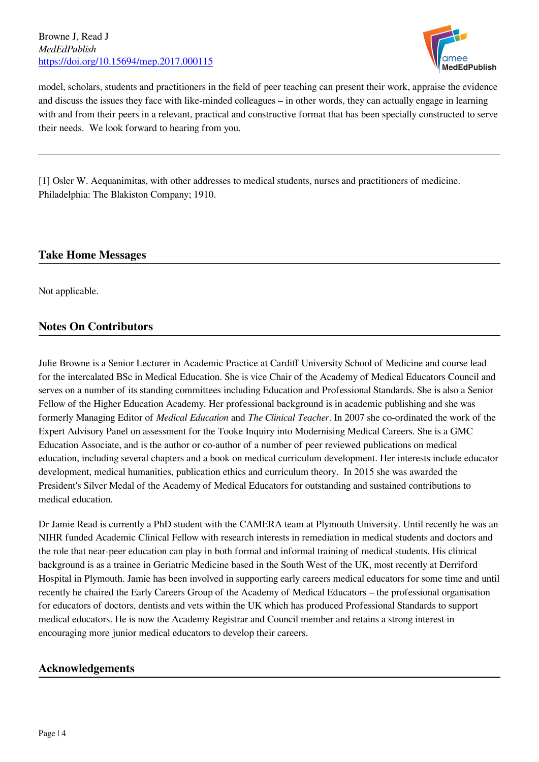Browne J, Read J *MedEdPublish* <https://doi.org/10.15694/mep.2017.000115>



model, scholars, students and practitioners in the field of peer teaching can present their work, appraise the evidence and discuss the issues they face with like-minded colleagues – in other words, they can actually engage in learning with and from their peers in a relevant, practical and constructive format that has been specially constructed to serve their needs. We look forward to hearing from you.

[1] Osler W. Aequanimitas, with other addresses to medical students, nurses and practitioners of medicine. Philadelphia: The Blakiston Company; 1910.

# **Take Home Messages**

Not applicable.

# **Notes On Contributors**

Julie Browne is a Senior Lecturer in Academic Practice at Cardiff University School of Medicine and course lead for the intercalated BSc in Medical Education. She is vice Chair of the Academy of Medical Educators Council and serves on a number of its standing committees including Education and Professional Standards. She is also a Senior Fellow of the Higher Education Academy. Her professional background is in academic publishing and she was formerly Managing Editor of *Medical Education* and *The Clinical Teacher*. In 2007 she co-ordinated the work of the Expert Advisory Panel on assessment for the Tooke Inquiry into Modernising Medical Careers. She is a GMC Education Associate, and is the author or co-author of a number of peer reviewed publications on medical education, including several chapters and a book on medical curriculum development. Her interests include educator development, medical humanities, publication ethics and curriculum theory. In 2015 she was awarded the President's Silver Medal of the Academy of Medical Educators for outstanding and sustained contributions to medical education.

Dr Jamie Read is currently a PhD student with the CAMERA team at Plymouth University. Until recently he was an NIHR funded Academic Clinical Fellow with research interests in remediation in medical students and doctors and the role that near-peer education can play in both formal and informal training of medical students. His clinical background is as a trainee in Geriatric Medicine based in the South West of the UK, most recently at Derriford Hospital in Plymouth. Jamie has been involved in supporting early careers medical educators for some time and until recently he chaired the Early Careers Group of the Academy of Medical Educators – the professional organisation for educators of doctors, dentists and vets within the UK which has produced Professional Standards to support medical educators. He is now the Academy Registrar and Council member and retains a strong interest in encouraging more junior medical educators to develop their careers.

## **Acknowledgements**